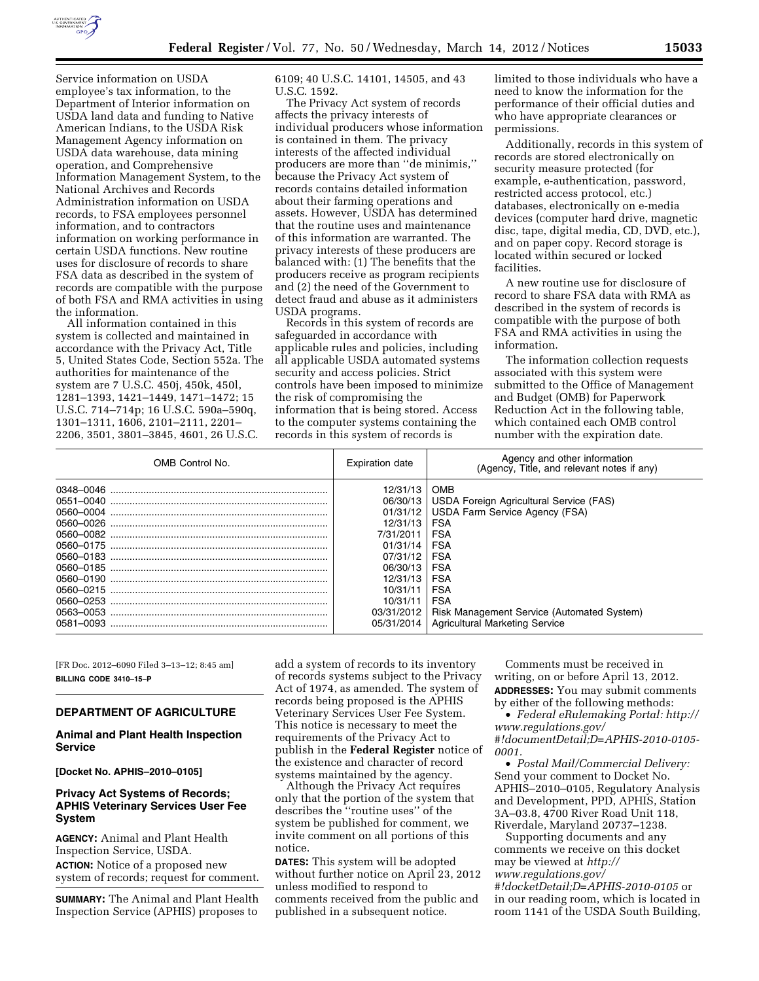

Service information on USDA employee's tax information, to the Department of Interior information on USDA land data and funding to Native American Indians, to the USDA Risk Management Agency information on USDA data warehouse, data mining operation, and Comprehensive Information Management System, to the National Archives and Records Administration information on USDA records, to FSA employees personnel information, and to contractors information on working performance in certain USDA functions. New routine uses for disclosure of records to share FSA data as described in the system of records are compatible with the purpose of both FSA and RMA activities in using the information.

All information contained in this system is collected and maintained in accordance with the Privacy Act, Title 5, United States Code, Section 552a. The authorities for maintenance of the system are 7 U.S.C. 450j, 450k, 450l, 1281–1393, 1421–1449, 1471–1472; 15 U.S.C. 714–714p; 16 U.S.C. 590a–590q, 1301–1311, 1606, 2101–2111, 2201– 2206, 3501, 3801–3845, 4601, 26 U.S.C.

6109; 40 U.S.C. 14101, 14505, and 43 U.S.C. 1592.

The Privacy Act system of records affects the privacy interests of individual producers whose information is contained in them. The privacy interests of the affected individual producers are more than ''de minimis,'' because the Privacy Act system of records contains detailed information about their farming operations and assets. However, USDA has determined that the routine uses and maintenance of this information are warranted. The privacy interests of these producers are balanced with: (1) The benefits that the producers receive as program recipients and (2) the need of the Government to detect fraud and abuse as it administers USDA programs.

Records in this system of records are safeguarded in accordance with applicable rules and policies, including all applicable USDA automated systems security and access policies. Strict controls have been imposed to minimize the risk of compromising the information that is being stored. Access to the computer systems containing the records in this system of records is

limited to those individuals who have a need to know the information for the performance of their official duties and who have appropriate clearances or permissions.

Additionally, records in this system of records are stored electronically on security measure protected (for example, e-authentication, password, restricted access protocol, etc.) databases, electronically on e-media devices (computer hard drive, magnetic disc, tape, digital media, CD, DVD, etc.), and on paper copy. Record storage is located within secured or locked facilities.

A new routine use for disclosure of record to share FSA data with RMA as described in the system of records is compatible with the purpose of both FSA and RMA activities in using the information.

The information collection requests associated with this system were submitted to the Office of Management and Budget (OMB) for Paperwork Reduction Act in the following table, which contained each OMB control number with the expiration date.

| OMB Control No.                                                                                                                             | <b>Expiration date</b>                                                                                                                                        | Agency and other information<br>(Agency, Title, and relevant notes if any)                                                                                                                                                                                  |  |  |
|---------------------------------------------------------------------------------------------------------------------------------------------|---------------------------------------------------------------------------------------------------------------------------------------------------------------|-------------------------------------------------------------------------------------------------------------------------------------------------------------------------------------------------------------------------------------------------------------|--|--|
| 0551-0040<br>0560-0004<br>0560–0026<br>0560–0082<br>0560-0175<br>0560-0185<br>0560-0190<br>0560-0215<br>0560-0253<br>0563–0053<br>0581-0093 | 12/31/13<br>06/30/13<br>01/31/12<br>12/31/13<br>7/31/2011<br>01/31/14<br>07/31/12<br>06/30/13<br>12/31/13<br>10/31/11<br>10/31/11<br>03/31/2012<br>05/31/2014 | <b>OMB</b><br>USDA Foreign Agricultural Service (FAS)<br><b>USDA Farm Service Agency (FSA)</b><br>FSA<br>FSA<br><b>FSA</b><br>FSA<br>FSA<br>FSA<br>FSA<br>FSA<br><b>Risk Management Service (Automated System)</b><br><b>Agricultural Marketing Service</b> |  |  |

[FR Doc. 2012–6090 Filed 3–13–12; 8:45 am] **BILLING CODE 3410–15–P** 

## **DEPARTMENT OF AGRICULTURE**

## **Animal and Plant Health Inspection Service**

**[Docket No. APHIS–2010–0105]** 

# **Privacy Act Systems of Records; APHIS Veterinary Services User Fee System**

**AGENCY:** Animal and Plant Health Inspection Service, USDA.

**ACTION:** Notice of a proposed new system of records; request for comment.

**SUMMARY:** The Animal and Plant Health Inspection Service (APHIS) proposes to

add a system of records to its inventory of records systems subject to the Privacy Act of 1974, as amended. The system of records being proposed is the APHIS Veterinary Services User Fee System. This notice is necessary to meet the requirements of the Privacy Act to publish in the **Federal Register** notice of the existence and character of record systems maintained by the agency.

Although the Privacy Act requires only that the portion of the system that describes the ''routine uses'' of the system be published for comment, we invite comment on all portions of this notice.

**DATES:** This system will be adopted without further notice on April 23, 2012 unless modified to respond to comments received from the public and published in a subsequent notice.

Comments must be received in writing, on or before April 13, 2012. **ADDRESSES:** You may submit comments by either of the following methods:

• *Federal eRulemaking Portal: [http://](http://www.regulations.gov/#!documentDetail;D=APHIS-2010-0105-0001)  [www.regulations.gov/](http://www.regulations.gov/#!documentDetail;D=APHIS-2010-0105-0001) [#!documentDetail;D=APHIS-2010-0105-](http://www.regulations.gov/#!documentDetail;D=APHIS-2010-0105-0001)* 

*[0001.](http://www.regulations.gov/#!documentDetail;D=APHIS-2010-0105-0001)*  • *Postal Mail/Commercial Delivery:*  Send your comment to Docket No. APHIS–2010–0105, Regulatory Analysis and Development, PPD, APHIS, Station 3A–03.8, 4700 River Road Unit 118, Riverdale, Maryland 20737–1238.

Supporting documents and any comments we receive on this docket may be viewed at *[http://](http://www.regulations.gov)  [www.regulations.gov/](http://www.regulations.gov) #!docketDetail;D=APHIS-2010-0105* or in our reading room, which is located in room 1141 of the USDA South Building,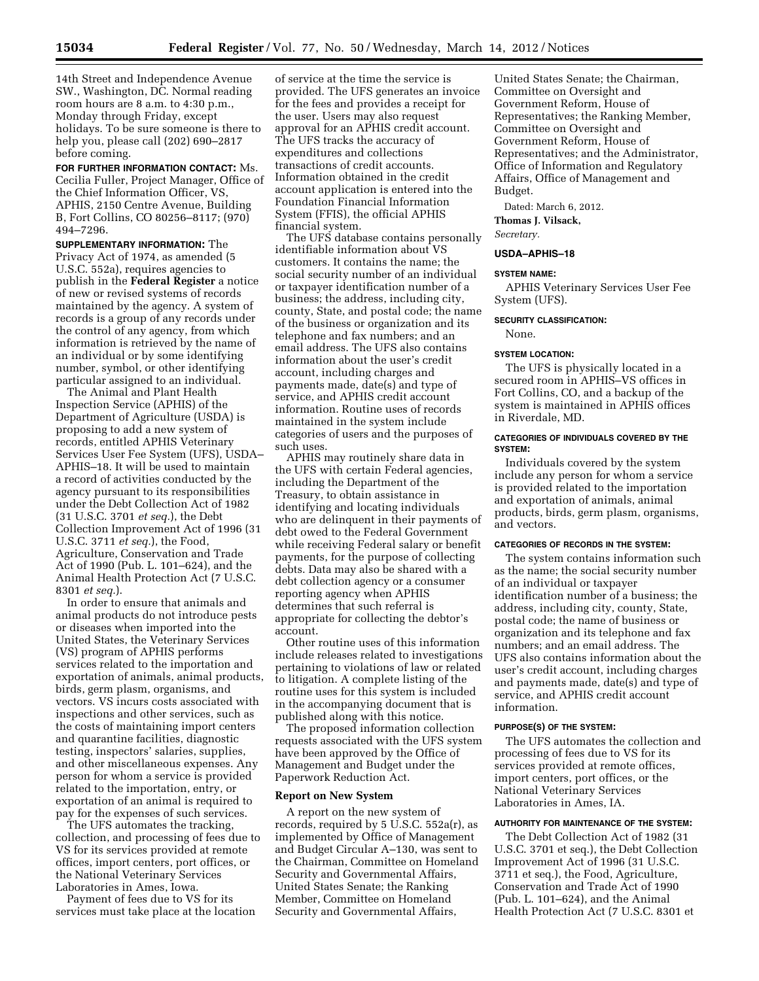14th Street and Independence Avenue SW., Washington, DC. Normal reading room hours are 8 a.m. to 4:30 p.m., Monday through Friday, except holidays. To be sure someone is there to help you, please call (202) 690–2817 before coming.

**FOR FURTHER INFORMATION CONTACT:** Ms. Cecilia Fuller, Project Manager, Office of the Chief Information Officer, VS, APHIS, 2150 Centre Avenue, Building B, Fort Collins, CO 80256–8117; (970) 494–7296.

**SUPPLEMENTARY INFORMATION:** The Privacy Act of 1974, as amended (5 U.S.C. 552a), requires agencies to publish in the **Federal Register** a notice of new or revised systems of records maintained by the agency. A system of records is a group of any records under the control of any agency, from which information is retrieved by the name of an individual or by some identifying number, symbol, or other identifying particular assigned to an individual.

The Animal and Plant Health Inspection Service (APHIS) of the Department of Agriculture (USDA) is proposing to add a new system of records, entitled APHIS Veterinary Services User Fee System (UFS), USDA– APHIS–18. It will be used to maintain a record of activities conducted by the agency pursuant to its responsibilities under the Debt Collection Act of 1982 (31 U.S.C. 3701 *et seq.*), the Debt Collection Improvement Act of 1996 (31 U.S.C. 3711 *et seq.*), the Food, Agriculture, Conservation and Trade Act of 1990 (Pub. L. 101–624), and the Animal Health Protection Act (7 U.S.C. 8301 *et seq.*).

In order to ensure that animals and animal products do not introduce pests or diseases when imported into the United States, the Veterinary Services (VS) program of APHIS performs services related to the importation and exportation of animals, animal products, birds, germ plasm, organisms, and vectors. VS incurs costs associated with inspections and other services, such as the costs of maintaining import centers and quarantine facilities, diagnostic testing, inspectors' salaries, supplies, and other miscellaneous expenses. Any person for whom a service is provided related to the importation, entry, or exportation of an animal is required to pay for the expenses of such services.

The UFS automates the tracking, collection, and processing of fees due to VS for its services provided at remote offices, import centers, port offices, or the National Veterinary Services Laboratories in Ames, Iowa.

Payment of fees due to VS for its services must take place at the location

of service at the time the service is provided. The UFS generates an invoice for the fees and provides a receipt for the user. Users may also request approval for an APHIS credit account. The UFS tracks the accuracy of expenditures and collections transactions of credit accounts. Information obtained in the credit account application is entered into the Foundation Financial Information System (FFIS), the official APHIS financial system.

The UFS database contains personally identifiable information about VS customers. It contains the name; the social security number of an individual or taxpayer identification number of a business; the address, including city, county, State, and postal code; the name of the business or organization and its telephone and fax numbers; and an email address. The UFS also contains information about the user's credit account, including charges and payments made, date(s) and type of service, and APHIS credit account information. Routine uses of records maintained in the system include categories of users and the purposes of such uses.

APHIS may routinely share data in the UFS with certain Federal agencies, including the Department of the Treasury, to obtain assistance in identifying and locating individuals who are delinquent in their payments of debt owed to the Federal Government while receiving Federal salary or benefit payments, for the purpose of collecting debts. Data may also be shared with a debt collection agency or a consumer reporting agency when APHIS determines that such referral is appropriate for collecting the debtor's account.

Other routine uses of this information include releases related to investigations pertaining to violations of law or related to litigation. A complete listing of the routine uses for this system is included in the accompanying document that is published along with this notice.

The proposed information collection requests associated with the UFS system have been approved by the Office of Management and Budget under the Paperwork Reduction Act.

#### **Report on New System**

A report on the new system of records, required by 5 U.S.C. 552a(r), as implemented by Office of Management and Budget Circular A–130, was sent to the Chairman, Committee on Homeland Security and Governmental Affairs, United States Senate; the Ranking Member, Committee on Homeland Security and Governmental Affairs,

United States Senate; the Chairman, Committee on Oversight and Government Reform, House of Representatives; the Ranking Member, Committee on Oversight and Government Reform, House of Representatives; and the Administrator, Office of Information and Regulatory Affairs, Office of Management and Budget.

Dated: March 6, 2012.

**Thomas J. Vilsack,** 

*Secretary.* 

# **USDA–APHIS–18**

#### **SYSTEM NAME:**

APHIS Veterinary Services User Fee System (UFS).

#### **SECURITY CLASSIFICATION:**

None.

#### **SYSTEM LOCATION:**

The UFS is physically located in a secured room in APHIS–VS offices in Fort Collins, CO, and a backup of the system is maintained in APHIS offices in Riverdale, MD.

## **CATEGORIES OF INDIVIDUALS COVERED BY THE SYSTEM:**

Individuals covered by the system include any person for whom a service is provided related to the importation and exportation of animals, animal products, birds, germ plasm, organisms, and vectors.

#### **CATEGORIES OF RECORDS IN THE SYSTEM:**

The system contains information such as the name; the social security number of an individual or taxpayer identification number of a business; the address, including city, county, State, postal code; the name of business or organization and its telephone and fax numbers; and an email address. The UFS also contains information about the user's credit account, including charges and payments made, date(s) and type of service, and APHIS credit account information.

## **PURPOSE(S) OF THE SYSTEM:**

The UFS automates the collection and processing of fees due to VS for its services provided at remote offices, import centers, port offices, or the National Veterinary Services Laboratories in Ames, IA.

## **AUTHORITY FOR MAINTENANCE OF THE SYSTEM:**

The Debt Collection Act of 1982 (31 U.S.C. 3701 et seq.), the Debt Collection Improvement Act of 1996 (31 U.S.C. 3711 et seq.), the Food, Agriculture, Conservation and Trade Act of 1990 (Pub. L. 101–624), and the Animal Health Protection Act (7 U.S.C. 8301 et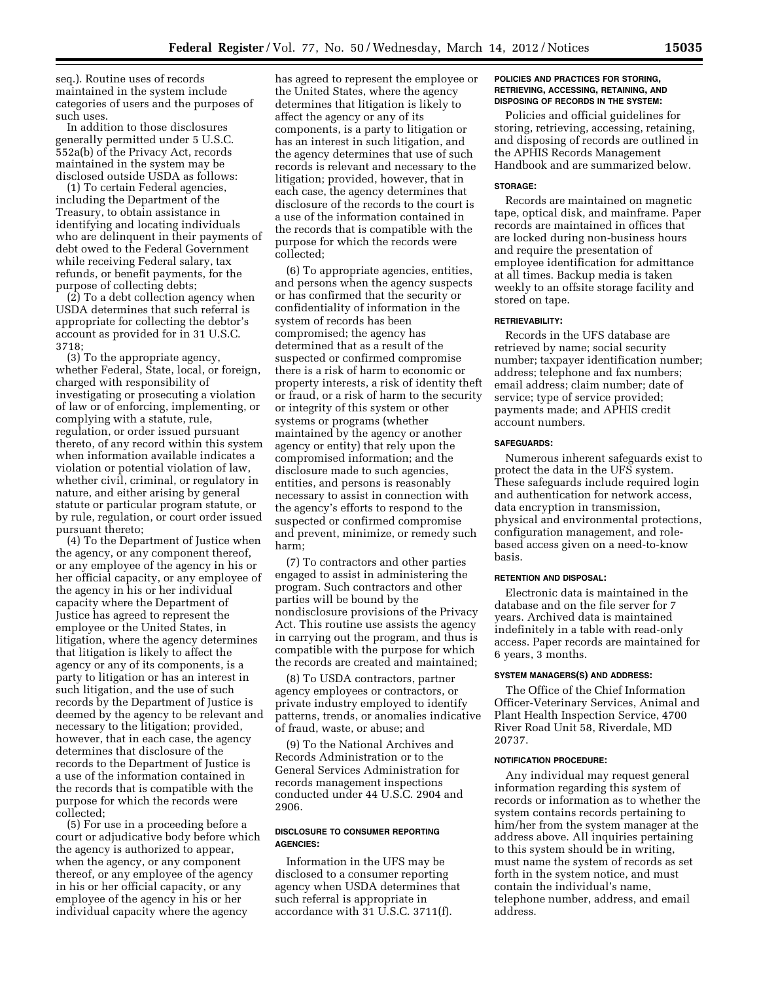seq.). Routine uses of records maintained in the system include categories of users and the purposes of such uses.

In addition to those disclosures generally permitted under 5 U.S.C. 552a(b) of the Privacy Act, records maintained in the system may be disclosed outside USDA as follows:

(1) To certain Federal agencies, including the Department of the Treasury, to obtain assistance in identifying and locating individuals who are delinquent in their payments of debt owed to the Federal Government while receiving Federal salary, tax refunds, or benefit payments, for the purpose of collecting debts;

(2) To a debt collection agency when USDA determines that such referral is appropriate for collecting the debtor's account as provided for in 31 U.S.C. 3718;

(3) To the appropriate agency, whether Federal, State, local, or foreign, charged with responsibility of investigating or prosecuting a violation of law or of enforcing, implementing, or complying with a statute, rule, regulation, or order issued pursuant thereto, of any record within this system when information available indicates a violation or potential violation of law, whether civil, criminal, or regulatory in nature, and either arising by general statute or particular program statute, or by rule, regulation, or court order issued pursuant thereto;

(4) To the Department of Justice when the agency, or any component thereof, or any employee of the agency in his or her official capacity, or any employee of the agency in his or her individual capacity where the Department of Justice has agreed to represent the employee or the United States, in litigation, where the agency determines that litigation is likely to affect the agency or any of its components, is a party to litigation or has an interest in such litigation, and the use of such records by the Department of Justice is deemed by the agency to be relevant and necessary to the litigation; provided, however, that in each case, the agency determines that disclosure of the records to the Department of Justice is a use of the information contained in the records that is compatible with the purpose for which the records were collected;

(5) For use in a proceeding before a court or adjudicative body before which the agency is authorized to appear, when the agency, or any component thereof, or any employee of the agency in his or her official capacity, or any employee of the agency in his or her individual capacity where the agency

has agreed to represent the employee or the United States, where the agency determines that litigation is likely to affect the agency or any of its components, is a party to litigation or has an interest in such litigation, and the agency determines that use of such records is relevant and necessary to the litigation; provided, however, that in each case, the agency determines that disclosure of the records to the court is a use of the information contained in the records that is compatible with the purpose for which the records were collected;

(6) To appropriate agencies, entities, and persons when the agency suspects or has confirmed that the security or confidentiality of information in the system of records has been compromised; the agency has determined that as a result of the suspected or confirmed compromise there is a risk of harm to economic or property interests, a risk of identity theft or fraud, or a risk of harm to the security or integrity of this system or other systems or programs (whether maintained by the agency or another agency or entity) that rely upon the compromised information; and the disclosure made to such agencies, entities, and persons is reasonably necessary to assist in connection with the agency's efforts to respond to the suspected or confirmed compromise and prevent, minimize, or remedy such harm;

(7) To contractors and other parties engaged to assist in administering the program. Such contractors and other parties will be bound by the nondisclosure provisions of the Privacy Act. This routine use assists the agency in carrying out the program, and thus is compatible with the purpose for which the records are created and maintained;

(8) To USDA contractors, partner agency employees or contractors, or private industry employed to identify patterns, trends, or anomalies indicative of fraud, waste, or abuse; and

(9) To the National Archives and Records Administration or to the General Services Administration for records management inspections conducted under 44 U.S.C. 2904 and 2906.

## **DISCLOSURE TO CONSUMER REPORTING AGENCIES:**

Information in the UFS may be disclosed to a consumer reporting agency when USDA determines that such referral is appropriate in accordance with 31 U.S.C. 3711(f).

## **POLICIES AND PRACTICES FOR STORING, RETRIEVING, ACCESSING, RETAINING, AND DISPOSING OF RECORDS IN THE SYSTEM:**

Policies and official guidelines for storing, retrieving, accessing, retaining, and disposing of records are outlined in the APHIS Records Management Handbook and are summarized below.

#### **STORAGE:**

Records are maintained on magnetic tape, optical disk, and mainframe. Paper records are maintained in offices that are locked during non-business hours and require the presentation of employee identification for admittance at all times. Backup media is taken weekly to an offsite storage facility and stored on tape.

## **RETRIEVABILITY:**

Records in the UFS database are retrieved by name; social security number; taxpayer identification number; address; telephone and fax numbers; email address; claim number; date of service; type of service provided; payments made; and APHIS credit account numbers.

#### **SAFEGUARDS:**

Numerous inherent safeguards exist to protect the data in the UFS system. These safeguards include required login and authentication for network access, data encryption in transmission, physical and environmental protections, configuration management, and rolebased access given on a need-to-know basis.

#### **RETENTION AND DISPOSAL:**

Electronic data is maintained in the database and on the file server for 7 years. Archived data is maintained indefinitely in a table with read-only access. Paper records are maintained for 6 years, 3 months.

#### **SYSTEM MANAGERS(S) AND ADDRESS:**

The Office of the Chief Information Officer-Veterinary Services, Animal and Plant Health Inspection Service, 4700 River Road Unit 58, Riverdale, MD 20737.

#### **NOTIFICATION PROCEDURE:**

Any individual may request general information regarding this system of records or information as to whether the system contains records pertaining to him/her from the system manager at the address above. All inquiries pertaining to this system should be in writing, must name the system of records as set forth in the system notice, and must contain the individual's name, telephone number, address, and email address.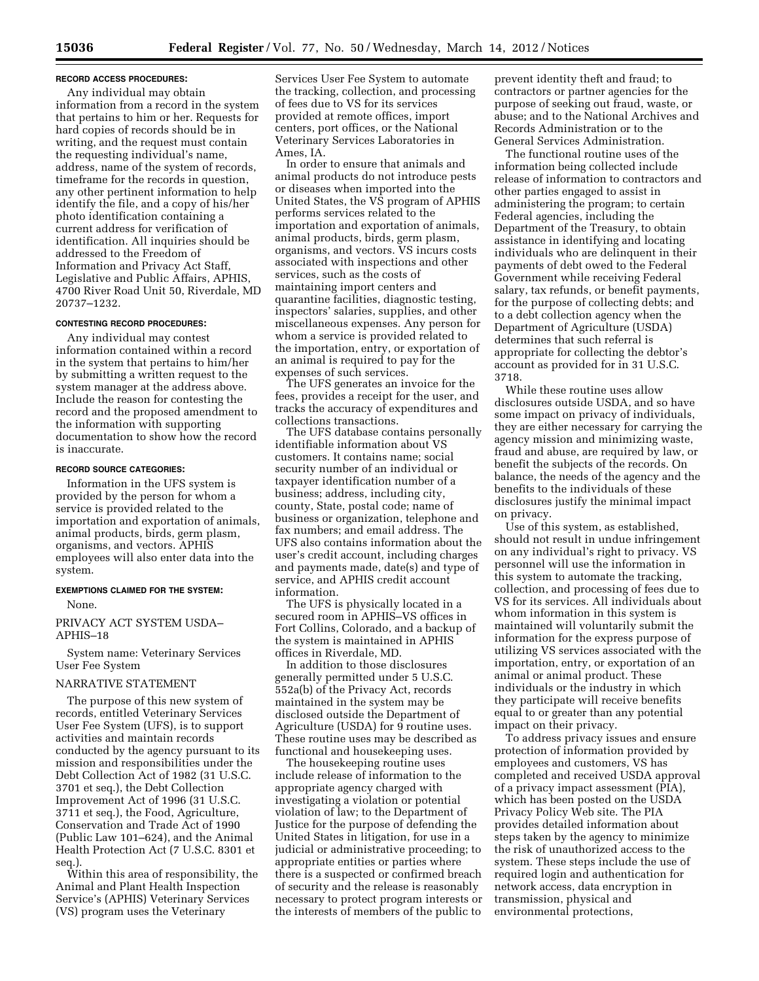### **RECORD ACCESS PROCEDURES:**

Any individual may obtain information from a record in the system that pertains to him or her. Requests for hard copies of records should be in writing, and the request must contain the requesting individual's name, address, name of the system of records, timeframe for the records in question, any other pertinent information to help identify the file, and a copy of his/her photo identification containing a current address for verification of identification. All inquiries should be addressed to the Freedom of Information and Privacy Act Staff, Legislative and Public Affairs, APHIS, 4700 River Road Unit 50, Riverdale, MD 20737–1232.

### **CONTESTING RECORD PROCEDURES:**

Any individual may contest information contained within a record in the system that pertains to him/her by submitting a written request to the system manager at the address above. Include the reason for contesting the record and the proposed amendment to the information with supporting documentation to show how the record is inaccurate.

#### **RECORD SOURCE CATEGORIES:**

Information in the UFS system is provided by the person for whom a service is provided related to the importation and exportation of animals, animal products, birds, germ plasm, organisms, and vectors. APHIS employees will also enter data into the system.

## **EXEMPTIONS CLAIMED FOR THE SYSTEM:**  None.

PRIVACY ACT SYSTEM USDA– APHIS–18

System name: Veterinary Services User Fee System

# NARRATIVE STATEMENT

The purpose of this new system of records, entitled Veterinary Services User Fee System (UFS), is to support activities and maintain records conducted by the agency pursuant to its mission and responsibilities under the Debt Collection Act of 1982 (31 U.S.C. 3701 et seq.), the Debt Collection Improvement Act of 1996 (31 U.S.C. 3711 et seq.), the Food, Agriculture, Conservation and Trade Act of 1990 (Public Law 101–624), and the Animal Health Protection Act (7 U.S.C. 8301 et seq.).

Within this area of responsibility, the Animal and Plant Health Inspection Service's (APHIS) Veterinary Services (VS) program uses the Veterinary

Services User Fee System to automate the tracking, collection, and processing of fees due to VS for its services provided at remote offices, import centers, port offices, or the National Veterinary Services Laboratories in Ames, IA.

In order to ensure that animals and animal products do not introduce pests or diseases when imported into the United States, the VS program of APHIS performs services related to the importation and exportation of animals, animal products, birds, germ plasm, organisms, and vectors. VS incurs costs associated with inspections and other services, such as the costs of maintaining import centers and quarantine facilities, diagnostic testing, inspectors' salaries, supplies, and other miscellaneous expenses. Any person for whom a service is provided related to the importation, entry, or exportation of an animal is required to pay for the expenses of such services.

The UFS generates an invoice for the fees, provides a receipt for the user, and tracks the accuracy of expenditures and collections transactions.

The UFS database contains personally identifiable information about VS customers. It contains name; social security number of an individual or taxpayer identification number of a business; address, including city, county, State, postal code; name of business or organization, telephone and fax numbers; and email address. The UFS also contains information about the user's credit account, including charges and payments made, date(s) and type of service, and APHIS credit account information.

The UFS is physically located in a secured room in APHIS–VS offices in Fort Collins, Colorado, and a backup of the system is maintained in APHIS offices in Riverdale, MD.

In addition to those disclosures generally permitted under 5 U.S.C. 552a(b) of the Privacy Act, records maintained in the system may be disclosed outside the Department of Agriculture (USDA) for 9 routine uses. These routine uses may be described as functional and housekeeping uses.

The housekeeping routine uses include release of information to the appropriate agency charged with investigating a violation or potential violation of law; to the Department of Justice for the purpose of defending the United States in litigation, for use in a judicial or administrative proceeding; to appropriate entities or parties where there is a suspected or confirmed breach of security and the release is reasonably necessary to protect program interests or the interests of members of the public to

prevent identity theft and fraud; to contractors or partner agencies for the purpose of seeking out fraud, waste, or abuse; and to the National Archives and Records Administration or to the General Services Administration.

The functional routine uses of the information being collected include release of information to contractors and other parties engaged to assist in administering the program; to certain Federal agencies, including the Department of the Treasury, to obtain assistance in identifying and locating individuals who are delinquent in their payments of debt owed to the Federal Government while receiving Federal salary, tax refunds, or benefit payments, for the purpose of collecting debts; and to a debt collection agency when the Department of Agriculture (USDA) determines that such referral is appropriate for collecting the debtor's account as provided for in 31 U.S.C. 3718.

While these routine uses allow disclosures outside USDA, and so have some impact on privacy of individuals, they are either necessary for carrying the agency mission and minimizing waste, fraud and abuse, are required by law, or benefit the subjects of the records. On balance, the needs of the agency and the benefits to the individuals of these disclosures justify the minimal impact on privacy.

Use of this system, as established, should not result in undue infringement on any individual's right to privacy. VS personnel will use the information in this system to automate the tracking, collection, and processing of fees due to VS for its services. All individuals about whom information in this system is maintained will voluntarily submit the information for the express purpose of utilizing VS services associated with the importation, entry, or exportation of an animal or animal product. These individuals or the industry in which they participate will receive benefits equal to or greater than any potential impact on their privacy.

To address privacy issues and ensure protection of information provided by employees and customers, VS has completed and received USDA approval of a privacy impact assessment (PIA), which has been posted on the USDA Privacy Policy Web site. The PIA provides detailed information about steps taken by the agency to minimize the risk of unauthorized access to the system. These steps include the use of required login and authentication for network access, data encryption in transmission, physical and environmental protections,